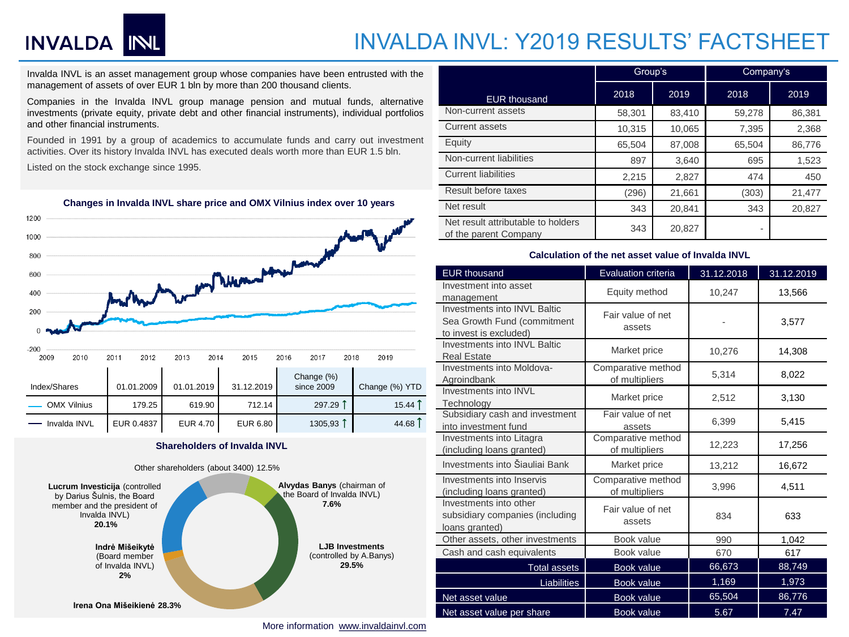# INVALDA INL

### INVALDA INVL: Y2019 RESULTS' FACTSHEET

Invalda INVL is an asset management group whose companies have been entrusted with the management of assets of over EUR 1 bln by more than 200 thousand clients.

Companies in the Invalda INVL group manage pension and mutual funds, alternative investments (private equity, private debt and other financial instruments), individual portfolios and other financial instruments.

Founded in 1991 by a group of academics to accumulate funds and carry out investment activities. Over its history Invalda INVL has executed deals worth more than EUR 1.5 bln.

Listed on the stock exchange since 1995.



#### **Changes in Invalda INVL share price and OMX Vilnius index over 10 years**

#### **Shareholders of Invalda INVL**



|                                                             | Group's |        | Company's |        |  |
|-------------------------------------------------------------|---------|--------|-----------|--------|--|
| <b>EUR thousand</b>                                         | 2018    | 2019   | 2018      | 2019   |  |
| Non-current assets                                          | 58,301  | 83,410 | 59,278    | 86,381 |  |
| <b>Current assets</b>                                       | 10,315  | 10,065 | 7,395     | 2,368  |  |
| Equity                                                      | 65,504  | 87,008 | 65,504    | 86,776 |  |
| Non-current liabilities                                     | 897     | 3,640  | 695       | 1,523  |  |
| <b>Current liabilities</b>                                  | 2,215   | 2,827  | 474       | 450    |  |
| Result before taxes                                         | (296)   | 21,661 | (303)     | 21,477 |  |
| Net result                                                  | 343     | 20,841 | 343       | 20,827 |  |
| Net result attributable to holders<br>of the parent Company | 343     | 20,827 | ۰         |        |  |

#### **Calculation of the net asset value of Invalda INVL**

| <b>EUR thousand</b>                                                                   | Evaluation criteria                  | 31.12.2018 | 31.12.2019 |  |  |
|---------------------------------------------------------------------------------------|--------------------------------------|------------|------------|--|--|
| Investment into asset<br>management                                                   | Equity method                        | 10,247     | 13,566     |  |  |
| Investments into INVL Baltic<br>Sea Growth Fund (commitment<br>to invest is excluded) | Fair value of net<br>assets          |            | 3,577      |  |  |
| Investments into INVL Baltic<br><b>Real Estate</b>                                    | Market price                         | 10,276     | 14,308     |  |  |
| Investments into Moldova-<br>Agroindbank                                              | Comparative method<br>of multipliers | 5,314      | 8,022      |  |  |
| Investments into INVL<br>Technology                                                   | Market price                         | 2,512      | 3,130      |  |  |
| Subsidiary cash and investment<br>into investment fund                                | Fair value of net<br>assets          | 6,399      | 5,415      |  |  |
| Investments into Litagra<br>(including loans granted)                                 | Comparative method<br>of multipliers | 12,223     | 17,256     |  |  |
| Investments into Šiauliai Bank                                                        | Market price                         | 13,212     | 16,672     |  |  |
| Investments into Inservis<br>(including loans granted)                                | Comparative method<br>of multipliers | 3,996      | 4,511      |  |  |
| Investments into other<br>subsidiary companies (including<br>loans granted)           | Fair value of net<br>assets          | 834        | 633        |  |  |
| Other assets, other investments                                                       | Book value                           | 990        | 1,042      |  |  |
| Cash and cash equivalents                                                             | Book value                           | 670        | 617        |  |  |
| <b>Total assets</b>                                                                   | <b>Book value</b>                    | 66,673     | 88,749     |  |  |
| <b>Liabilities</b>                                                                    | <b>Book value</b>                    | 1,169      | 1,973      |  |  |
| Net asset value                                                                       | <b>Book value</b>                    | 65,504     | 86,776     |  |  |
| Net asset value per share                                                             | <b>Book value</b>                    | 5.67       | 7.47       |  |  |

More information [www.invaldainvl.com](http://www.invaldainvl.com/)